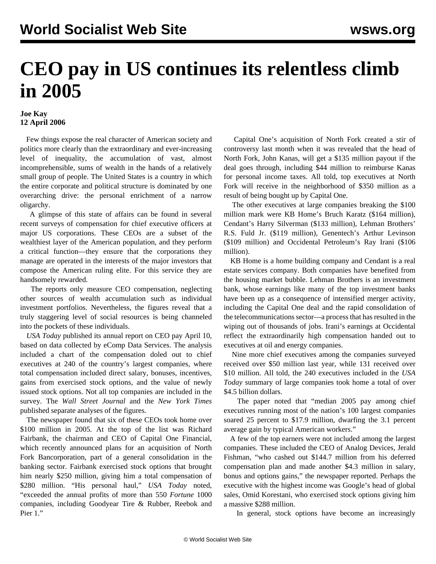## **CEO pay in US continues its relentless climb in 2005**

## **Joe Kay 12 April 2006**

 Few things expose the real character of American society and politics more clearly than the extraordinary and ever-increasing level of inequality, the accumulation of vast, almost incomprehensible, sums of wealth in the hands of a relatively small group of people. The United States is a country in which the entire corporate and political structure is dominated by one overarching drive: the personal enrichment of a narrow oligarchy.

 A glimpse of this state of affairs can be found in several recent surveys of compensation for chief executive officers at major US corporations. These CEOs are a subset of the wealthiest layer of the American population, and they perform a critical function—they ensure that the corporations they manage are operated in the interests of the major investors that compose the American ruling elite. For this service they are handsomely rewarded.

 The reports only measure CEO compensation, neglecting other sources of wealth accumulation such as individual investment portfolios. Nevertheless, the figures reveal that a truly staggering level of social resources is being channeled into the pockets of these individuals.

 *USA Today* published its annual report on CEO pay April 10, based on data collected by eComp Data Services. The analysis included a chart of the compensation doled out to chief executives at 240 of the country's largest companies, where total compensation included direct salary, bonuses, incentives, gains from exercised stock options, and the value of newly issued stock options. Not all top companies are included in the survey. The *Wall Street Journal* and the *New York Times* published separate analyses of the figures.

 The newspaper found that six of these CEOs took home over \$100 million in 2005. At the top of the list was Richard Fairbank, the chairman and CEO of Capital One Financial, which recently announced plans for an acquisition of North Fork Bancorporation, part of a general consolidation in the banking sector. Fairbank exercised stock options that brought him nearly \$250 million, giving him a total compensation of \$280 million. "His personal haul," *USA Today* noted, "exceeded the annual profits of more than 550 *Fortune* 1000 companies, including Goodyear Tire & Rubber, Reebok and Pier 1."

 Capital One's acquisition of North Fork created a stir of controversy last month when it was revealed that the head of North Fork, John Kanas, will get a \$135 million payout if the deal goes through, including \$44 million to reimburse Kanas for personal income taxes. All told, top executives at North Fork will receive in the neighborhood of \$350 million as a result of being bought up by Capital One.

 The other executives at large companies breaking the \$100 million mark were KB Home's Bruch Karatz (\$164 million), Cendant's Harry Silverman (\$133 million), Lehman Brothers' R.S. Fuld Jr. (\$119 million), Genentech's Arthur Levinson (\$109 million) and Occidental Petroleum's Ray Irani (\$106 million).

 KB Home is a home building company and Cendant is a real estate services company. Both companies have benefited from the housing market bubble. Lehman Brothers is an investment bank, whose earnings like many of the top investment banks have been up as a consequence of intensified merger activity, including the Capital One deal and the rapid consolidation of the telecommunications sector—a process that has resulted in the wiping out of thousands of jobs. Irani's earnings at Occidental reflect the extraordinarily high compensation handed out to executives at oil and energy companies.

 Nine more chief executives among the companies surveyed received over \$50 million last year, while 131 received over \$10 million. All told, the 240 executives included in the *USA Today* summary of large companies took home a total of over \$4.5 billion dollars.

 The paper noted that "median 2005 pay among chief executives running most of the nation's 100 largest companies soared 25 percent to \$17.9 million, dwarfing the 3.1 percent average gain by typical American workers."

 A few of the top earners were not included among the largest companies. These included the CEO of Analog Devices, Jerald Fishman, "who cashed out \$144.7 million from his deferred compensation plan and made another \$4.3 million in salary, bonus and options gains," the newspaper reported. Perhaps the executive with the highest income was Google's head of global sales, Omid Korestani, who exercised stock options giving him a massive \$288 million.

In general, stock options have become an increasingly